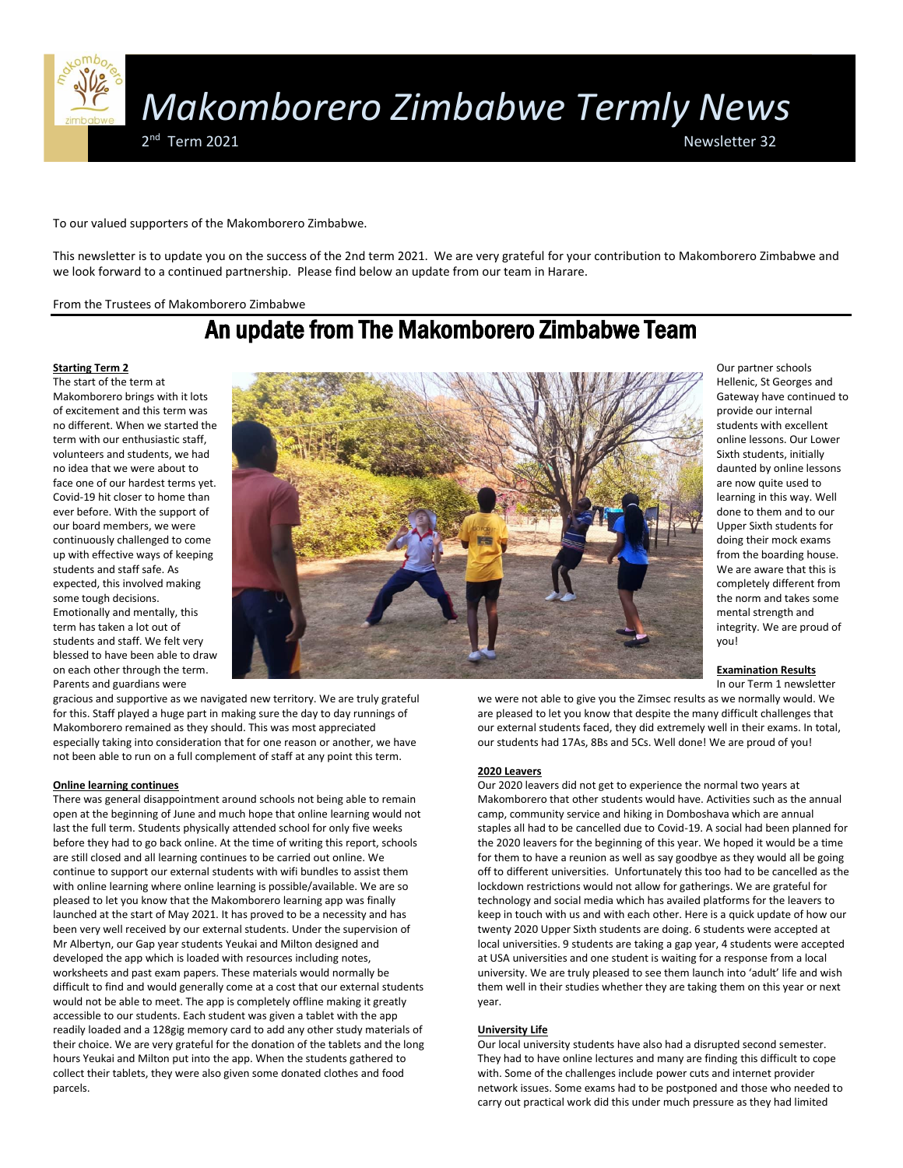

To our valued supporters of the Makomborero Zimbabwe.

This newsletter is to update you on the success of the 2nd term 2021. We are very grateful for your contribution to Makomborero Zimbabwe and we look forward to a continued partnership. Please find below an update from our team in Harare.

From the Trustees of Makomborero Zimbabwe

# An update from The Makomborero Zimbabwe Team

# **Starting Term 2**

The start of the term at Makomborero brings with it lots of excitement and this term was no different. When we started the term with our enthusiastic staff, volunteers and students, we had no idea that we were about to face one of our hardest terms yet. Covid-19 hit closer to home than ever before. With the support of our board members, we were continuously challenged to come up with effective ways of keeping students and staff safe. As expected, this involved making some tough decisions. Emotionally and mentally, this term has taken a lot out of students and staff. We felt very blessed to have been able to draw on each other through the term. Parents and guardians were



gracious and supportive as we navigated new territory. We are truly grateful for this. Staff played a huge part in making sure the day to day runnings of Makomborero remained as they should. This was most appreciated especially taking into consideration that for one reason or another, we have not been able to run on a full complement of staff at any point this term.

# **Online learning continues**

There was general disappointment around schools not being able to remain open at the beginning of June and much hope that online learning would not last the full term. Students physically attended school for only five weeks before they had to go back online. At the time of writing this report, schools are still closed and all learning continues to be carried out online. We continue to support our external students with wifi bundles to assist them with online learning where online learning is possible/available. We are so pleased to let you know that the Makomborero learning app was finally launched at the start of May 2021. It has proved to be a necessity and has been very well received by our external students. Under the supervision of Mr Albertyn, our Gap year students Yeukai and Milton designed and developed the app which is loaded with resources including notes, worksheets and past exam papers. These materials would normally be difficult to find and would generally come at a cost that our external students would not be able to meet. The app is completely offline making it greatly accessible to our students. Each student was given a tablet with the app readily loaded and a 128gig memory card to add any other study materials of their choice. We are very grateful for the donation of the tablets and the long hours Yeukai and Milton put into the app. When the students gathered to collect their tablets, they were also given some donated clothes and food parcels.

Our partner schools Hellenic, St Georges and Gateway have continued to provide our internal students with excellent online lessons. Our Lower Sixth students, initially daunted by online lessons are now quite used to learning in this way. Well done to them and to our Upper Sixth students for doing their mock exams from the boarding house. We are aware that this is completely different from the norm and takes some mental strength and integrity. We are proud of you!

### **Examination Results**

In our Term 1 newsletter

we were not able to give you the Zimsec results as we normally would. We are pleased to let you know that despite the many difficult challenges that our external students faced, they did extremely well in their exams. In total, our students had 17As, 8Bs and 5Cs. Well done! We are proud of you!

#### **2020 Leavers**

Our 2020 leavers did not get to experience the normal two years at Makomborero that other students would have. Activities such as the annual camp, community service and hiking in Domboshava which are annual staples all had to be cancelled due to Covid-19. A social had been planned for the 2020 leavers for the beginning of this year. We hoped it would be a time for them to have a reunion as well as say goodbye as they would all be going off to different universities. Unfortunately this too had to be cancelled as the lockdown restrictions would not allow for gatherings. We are grateful for technology and social media which has availed platforms for the leavers to keep in touch with us and with each other. Here is a quick update of how our twenty 2020 Upper Sixth students are doing. 6 students were accepted at local universities. 9 students are taking a gap year, 4 students were accepted at USA universities and one student is waiting for a response from a local university. We are truly pleased to see them launch into 'adult' life and wish them well in their studies whether they are taking them on this year or next year.

## **University Life**

Our local university students have also had a disrupted second semester. They had to have online lectures and many are finding this difficult to cope with. Some of the challenges include power cuts and internet provider network issues. Some exams had to be postponed and those who needed to carry out practical work did this under much pressure as they had limited